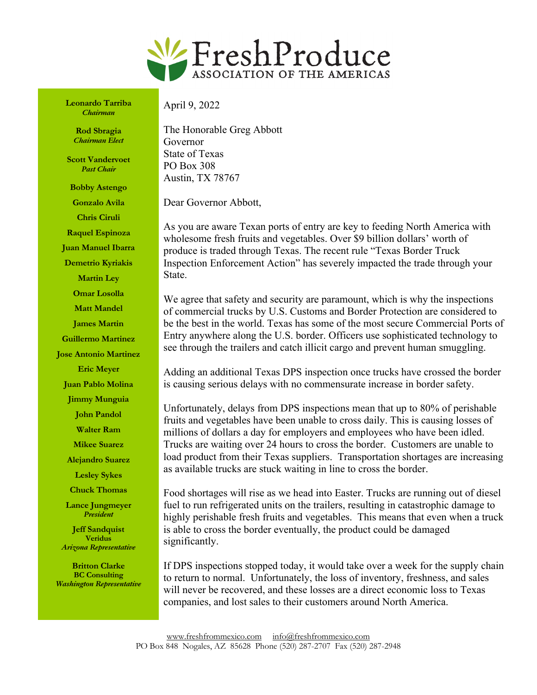

**Leonardo Tarriba** *Chairman*

> **Rod Sbragia** *Chairman Elect*

**Scott Vandervoet** *Past Chair*

**Bobby Astengo Gonzalo Avila**

**Chris Ciruli Raquel Espinoza Juan Manuel Ibarra**

**Demetrio Kyriakis**

**Martin Ley Omar Losolla**

**Matt Mandel**

**James Martin**

**Guillermo Martinez**

**Jose Antonio Martinez**

**Eric Meyer Juan Pablo Molina**

**Jimmy Munguia**

**John Pandol**

**Walter Ram**

**Mikee Suarez**

**Alejandro Suarez**

**Lesley Sykes**

**Chuck Thomas**

**Lance Jungmeyer** *President*

**Jeff Sandquist Veridus** *Arizona Representative*

**Britton Clarke BC Consulting** *Washington Representative* April 9, 2022

The Honorable Greg Abbott Governor State of Texas PO Box 308 Austin, TX 78767

Dear Governor Abbott,

As you are aware Texan ports of entry are key to feeding North America with wholesome fresh fruits and vegetables. Over \$9 billion dollars' worth of produce is traded through Texas. The recent rule "Texas Border Truck Inspection Enforcement Action" has severely impacted the trade through your State.

We agree that safety and security are paramount, which is why the inspections of commercial trucks by U.S. Customs and Border Protection are considered to be the best in the world. Texas has some of the most secure Commercial Ports of Entry anywhere along the U.S. border. Officers use sophisticated technology to see through the trailers and catch illicit cargo and prevent human smuggling.

Adding an additional Texas DPS inspection once trucks have crossed the border is causing serious delays with no commensurate increase in border safety.

Unfortunately, delays from DPS inspections mean that up to 80% of perishable fruits and vegetables have been unable to cross daily. This is causing losses of millions of dollars a day for employers and employees who have been idled. Trucks are waiting over 24 hours to cross the border. Customers are unable to load product from their Texas suppliers. Transportation shortages are increasing as available trucks are stuck waiting in line to cross the border.

Food shortages will rise as we head into Easter. Trucks are running out of diesel fuel to run refrigerated units on the trailers, resulting in catastrophic damage to highly perishable fresh fruits and vegetables. This means that even when a truck is able to cross the border eventually, the product could be damaged significantly.

If DPS inspections stopped today, it would take over a week for the supply chain to return to normal. Unfortunately, the loss of inventory, freshness, and sales will never be recovered, and these losses are a direct economic loss to Texas companies, and lost sales to their customers around North America.